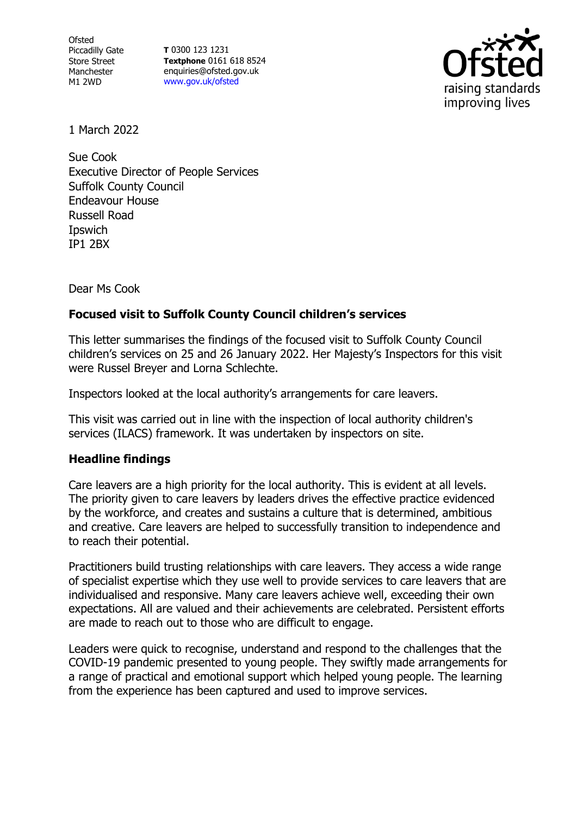Ofsted Piccadilly Gate Store Street Manchester M1 2WD

**T** 0300 123 1231 **Textphone** 0161 618 8524 enquiries@ofsted.gov.uk [www.gov.uk/ofsted](http://www.gov.uk/ofsted)



1 March 2022

Sue Cook Executive Director of People Services Suffolk County Council Endeavour House Russell Road Ipswich IP1 2BX

Dear Ms Cook

## **Focused visit to Suffolk County Council children's services**

This letter summarises the findings of the focused visit to Suffolk County Council children's services on 25 and 26 January 2022. Her Majesty's Inspectors for this visit were Russel Breyer and Lorna Schlechte.

Inspectors looked at the local authority's arrangements for care leavers.

This visit was carried out in line with the inspection of local authority children's services (ILACS) framework. It was undertaken by inspectors on site.

## **Headline findings**

Care leavers are a high priority for the local authority. This is evident at all levels. The priority given to care leavers by leaders drives the effective practice evidenced by the workforce, and creates and sustains a culture that is determined, ambitious and creative. Care leavers are helped to successfully transition to independence and to reach their potential.

Practitioners build trusting relationships with care leavers. They access a wide range of specialist expertise which they use well to provide services to care leavers that are individualised and responsive. Many care leavers achieve well, exceeding their own expectations. All are valued and their achievements are celebrated. Persistent efforts are made to reach out to those who are difficult to engage.

Leaders were quick to recognise, understand and respond to the challenges that the COVID-19 pandemic presented to young people. They swiftly made arrangements for a range of practical and emotional support which helped young people. The learning from the experience has been captured and used to improve services.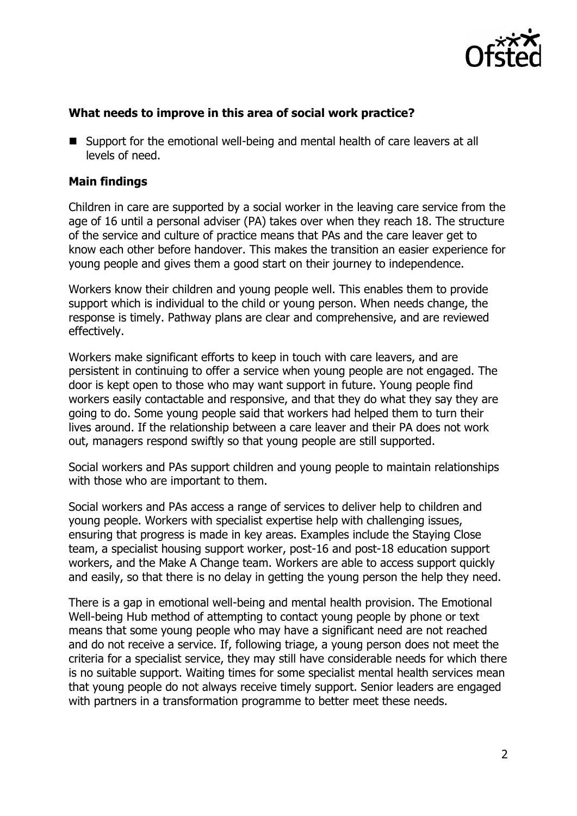

## **What needs to improve in this area of social work practice?**

■ Support for the emotional well-being and mental health of care leavers at all levels of need.

## **Main findings**

Children in care are supported by a social worker in the leaving care service from the age of 16 until a personal adviser (PA) takes over when they reach 18. The structure of the service and culture of practice means that PAs and the care leaver get to know each other before handover. This makes the transition an easier experience for young people and gives them a good start on their journey to independence.

Workers know their children and young people well. This enables them to provide support which is individual to the child or young person. When needs change, the response is timely. Pathway plans are clear and comprehensive, and are reviewed effectively.

Workers make significant efforts to keep in touch with care leavers, and are persistent in continuing to offer a service when young people are not engaged. The door is kept open to those who may want support in future. Young people find workers easily contactable and responsive, and that they do what they say they are going to do. Some young people said that workers had helped them to turn their lives around. If the relationship between a care leaver and their PA does not work out, managers respond swiftly so that young people are still supported.

Social workers and PAs support children and young people to maintain relationships with those who are important to them.

Social workers and PAs access a range of services to deliver help to children and young people. Workers with specialist expertise help with challenging issues, ensuring that progress is made in key areas. Examples include the Staying Close team, a specialist housing support worker, post-16 and post-18 education support workers, and the Make A Change team. Workers are able to access support quickly and easily, so that there is no delay in getting the young person the help they need.

There is a gap in emotional well-being and mental health provision. The Emotional Well-being Hub method of attempting to contact young people by phone or text means that some young people who may have a significant need are not reached and do not receive a service. If, following triage, a young person does not meet the criteria for a specialist service, they may still have considerable needs for which there is no suitable support. Waiting times for some specialist mental health services mean that young people do not always receive timely support. Senior leaders are engaged with partners in a transformation programme to better meet these needs.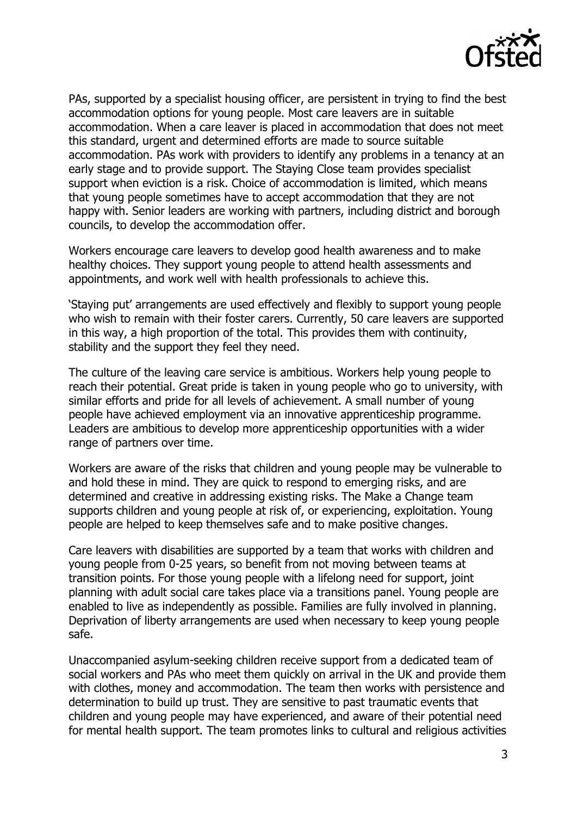

PAs, supported by a specialist housing officer, are persistent in trying to find the best accommodation options for young people. Most care leavers are in suitable accommodation. When a care leaver is placed in accommodation that does not meet this standard, urgent and determined efforts are made to source suitable accommodation. PAs work with providers to identify any problems in a tenancy at an early stage and to provide support. The Staying Close team provides specialist support when eviction is a risk. Choice of accommodation is limited, which means that young people sometimes have to accept accommodation that they are not happy with. Senior leaders are working with partners, including district and borough councils, to develop the accommodation offer.

Workers encourage care leavers to develop good health awareness and to make healthy choices. They support young people to attend health assessments and appointments, and work well with health professionals to achieve this.

'Staying put' arrangements are used effectively and flexibly to support young people who wish to remain with their foster carers. Currently, 50 care leavers are supported in this way, a high proportion of the total. This provides them with continuity, stability and the support they feel they need.

The culture of the leaving care service is ambitious. Workers help young people to reach their potential. Great pride is taken in young people who go to university, with similar efforts and pride for all levels of achievement. A small number of young people have achieved employment via an innovative apprenticeship programme. Leaders are ambitious to develop more apprenticeship opportunities with a wider range of partners over time.

Workers are aware of the risks that children and young people may be vulnerable to and hold these in mind. They are quick to respond to emerging risks, and are determined and creative in addressing existing risks. The Make a Change team supports children and young people at risk of, or experiencing, exploitation. Young people are helped to keep themselves safe and to make positive changes.

Care leavers with disabilities are supported by a team that works with children and young people from 0-25 years, so benefit from not moving between teams at transition points. For those young people with a lifelong need for support, joint planning with adult social care takes place via a transitions panel. Young people are enabled to live as independently as possible. Families are fully involved in planning. Deprivation of liberty arrangements are used when necessary to keep young people safe.

Unaccompanied asylum-seeking children receive support from a dedicated team of social workers and PAs who meet them quickly on arrival in the UK and provide them with clothes, money and accommodation. The team then works with persistence and determination to build up trust. They are sensitive to past traumatic events that children and young people may have experienced, and aware of their potential need for mental health support. The team promotes links to cultural and religious activities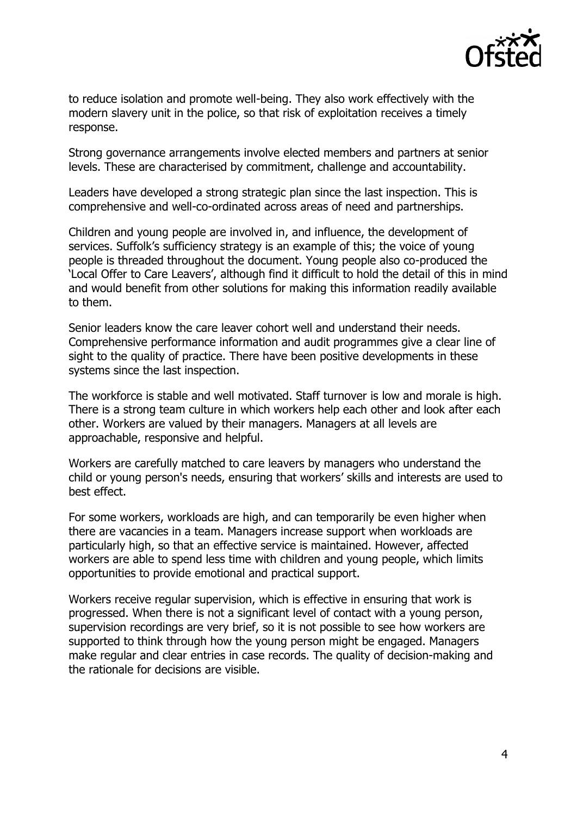

to reduce isolation and promote well-being. They also work effectively with the modern slavery unit in the police, so that risk of exploitation receives a timely response.

Strong governance arrangements involve elected members and partners at senior levels. These are characterised by commitment, challenge and accountability.

Leaders have developed a strong strategic plan since the last inspection. This is comprehensive and well-co-ordinated across areas of need and partnerships.

Children and young people are involved in, and influence, the development of services. Suffolk's sufficiency strategy is an example of this; the voice of young people is threaded throughout the document. Young people also co-produced the 'Local Offer to Care Leavers', although find it difficult to hold the detail of this in mind and would benefit from other solutions for making this information readily available to them.

Senior leaders know the care leaver cohort well and understand their needs. Comprehensive performance information and audit programmes give a clear line of sight to the quality of practice. There have been positive developments in these systems since the last inspection.

The workforce is stable and well motivated. Staff turnover is low and morale is high. There is a strong team culture in which workers help each other and look after each other. Workers are valued by their managers. Managers at all levels are approachable, responsive and helpful.

Workers are carefully matched to care leavers by managers who understand the child or young person's needs, ensuring that workers' skills and interests are used to best effect.

For some workers, workloads are high, and can temporarily be even higher when there are vacancies in a team. Managers increase support when workloads are particularly high, so that an effective service is maintained. However, affected workers are able to spend less time with children and young people, which limits opportunities to provide emotional and practical support.

Workers receive regular supervision, which is effective in ensuring that work is progressed. When there is not a significant level of contact with a young person, supervision recordings are very brief, so it is not possible to see how workers are supported to think through how the young person might be engaged. Managers make regular and clear entries in case records. The quality of decision-making and the rationale for decisions are visible.